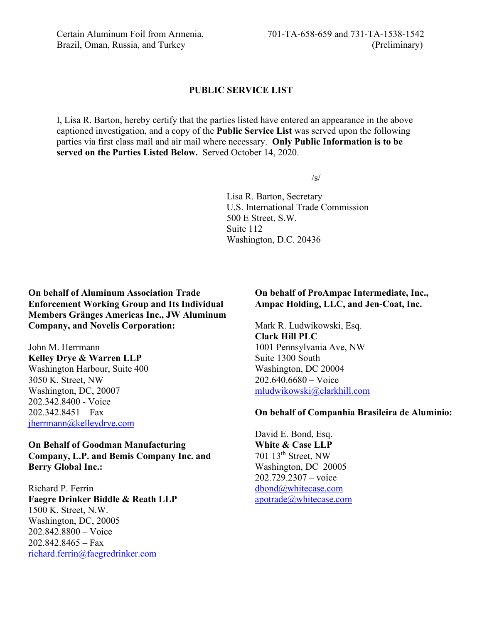#### **PUBLIC SERVICE LIST**

I, Lisa R. Barton, hereby certify that the parties listed have entered an appearance in the above captioned investigation, and a copy of the **Public Service List** was served upon the following parties via first class mail and air mail where necessary. **Only Public Information is to be served on the Parties Listed Below.** Served October 14, 2020.

 $\sqrt{s}$ 

Lisa R. Barton, Secretary U.S. International Trade Commission 500 E Street, S.W. Suite 112 Washington, D.C. 20436

**On behalf of Aluminum Association Trade Enforcement Working Group and Its Individual Members Gränges Americas Inc., JW Aluminum Company, and Novelis Corporation:**

John M. Herrmann **Kelley Drye & Warren LLP** Washington Harbour, Suite 400 3050 K. Street, NW Washington, DC, 20007 202.342.8400 - Voice  $202.342.8451 - Fax$ [jherrmann@kelleydrye.com](mailto:jherrmann@kelleydrye.com)

**On Behalf of Goodman Manufacturing Company, L.P. and Bemis Company Inc. and Berry Global Inc.:**

Richard P. Ferrin **Faegre Drinker Biddle & Reath LLP** 1500 K. Street, N.W. Washington, DC, 20005 202.842.8800 – Voice 202.842.8465 – Fax [richard.ferrin@faegredrinker.com](mailto:richard.ferrin@faegredrinker.com)

### **On behalf of ProAmpac Intermediate, Inc., Ampac Holding, LLC, and Jen-Coat, Inc.**

Mark R. Ludwikowski, Esq. **Clark Hill PLC** 1001 Pennsylvania Ave, NW Suite 1300 South Washington, DC 20004 202.640.6680 – Voice [mludwikowski@clarkhill.com](mailto:mludwikowski@clarkhill.com)

## **On behalf of Companhia Brasileira de Aluminio:**

David E. Bond, Esq. **White & Case LLP** 701 13th Street, NW Washington, DC 20005 202.729.2307 – voice [dbond@whitecase.com](mailto:dbond@whitecase.com) [apotrade@whitecase.com](mailto:apotrade@whitecase.com)